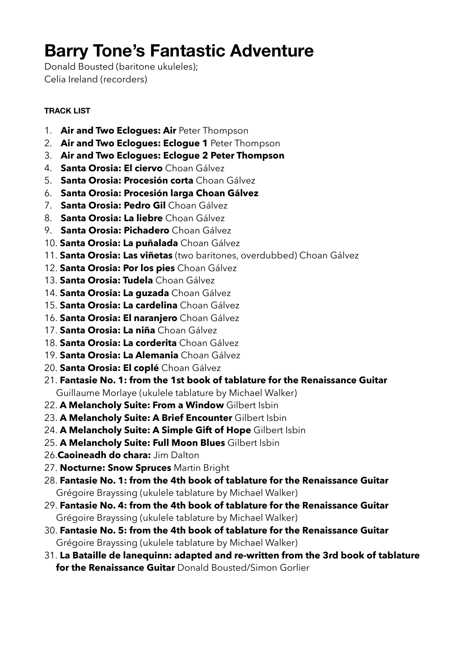# **Barry Tone's Fantastic Adventure**

Donald Bousted (baritone ukuleles); Celia Ireland (recorders)

#### **TRACK LIST**

- 1. **Air and Two Eclogues: Air** Peter Thompson
- 2. **Air and Two Eclogues: Eclogue 1** Peter Thompson
- 3. **Air and Two Eclogues: Eclogue 2 Peter Thompson**
- 4. **Santa Orosia: El ciervo** Choan Gálvez
- 5. **Santa Orosia: Procesión corta** Choan Gálvez
- 6. **Santa Orosia: Procesión larga Choan Gálvez**
- 7. **Santa Orosia: Pedro Gil** Choan Gálvez
- 8. **Santa Orosia: La liebre** Choan Gálvez
- 9. **Santa Orosia: Pichadero** Choan Gálvez
- 10. **Santa Orosia: La puñalada** Choan Gálvez
- 11. **Santa Orosia: Las viñetas** (two baritones, overdubbed) Choan Gálvez
- 12. **Santa Orosia: Por los pies** Choan Gálvez
- 13. **Santa Orosia: Tudela** Choan Gálvez
- 14. **Santa Orosia: La guzada** Choan Gálvez
- 15. **Santa Orosia: La cardelina** Choan Gálvez
- 16. **Santa Orosia: El naranjero** Choan Gálvez
- 17. **Santa Orosia: La niña** Choan Gálvez
- 18. **Santa Orosia: La corderita** Choan Gálvez
- 19. **Santa Orosia: La Alemania** Choan Gálvez
- 20. **Santa Orosia: El coplé** Choan Gálvez
- 21. **Fantasie No. 1: from the 1st book of tablature for the Renaissance Guitar** Guillaume Morlaye (ukulele tablature by Michael Walker)
- 22. **A Melancholy Suite: From a Window** Gilbert Isbin
- 23. **A Melancholy Suite: A Brief Encounter** Gilbert Isbin
- 24. **A Melancholy Suite: A Simple Gift of Hope** Gilbert Isbin
- 25. **A Melancholy Suite: Full Moon Blues** Gilbert Isbin
- 26.**Caoineadh do chara:** Jim Dalton
- 27. **Nocturne: Snow Spruces** Martin Bright
- 28. **Fantasie No. 1: from the 4th book of tablature for the Renaissance Guitar** Grégoire Brayssing (ukulele tablature by Michael Walker)
- 29. **Fantasie No. 4: from the 4th book of tablature for the Renaissance Guitar** Grégoire Brayssing (ukulele tablature by Michael Walker)
- 30. **Fantasie No. 5: from the 4th book of tablature for the Renaissance Guitar** Grégoire Brayssing (ukulele tablature by Michael Walker)
- 31. **La Bataille de lanequinn: adapted and re-written from the 3rd book of tablature for the Renaissance Guitar** Donald Bousted/Simon Gorlier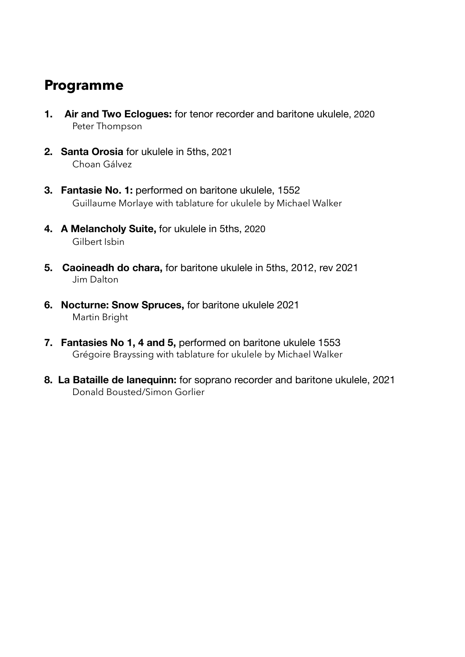### **Programme**

- **1. Air and Two Eclogues:** for tenor recorder and baritone ukulele, 2020 Peter Thompson
- **2. Santa Orosia** for ukulele in 5ths, 2021 Choan Gálvez
- **3. Fantasie No. 1:** performed on baritone ukulele, 1552 Guillaume Morlaye with tablature for ukulele by Michael Walker
- **4. A Melancholy Suite,** for ukulele in 5ths, 2020 Gilbert Isbin
- **5. Caoineadh do chara,** for baritone ukulele in 5ths, 2012, rev 2021 Jim Dalton
- **6. Nocturne: Snow Spruces,** for baritone ukulele 2021 Martin Bright
- **7. Fantasies No 1, 4 and 5,** performed on baritone ukulele 1553 Grégoire Brayssing with tablature for ukulele by Michael Walker
- **8. La Bataille de lanequinn:** for soprano recorder and baritone ukulele, 2021 Donald Bousted/Simon Gorlier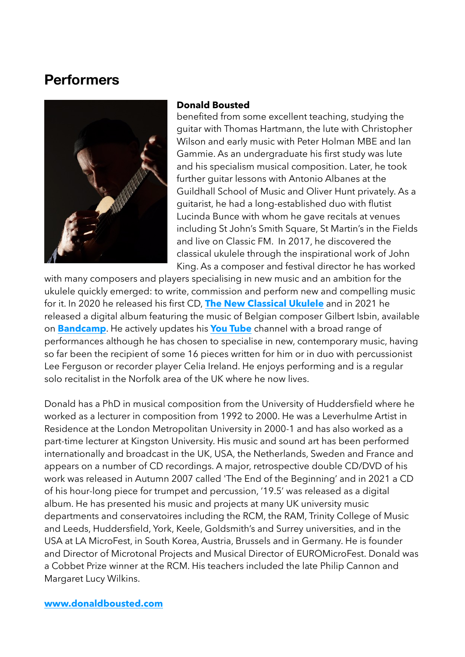### **Performers**



#### **Donald Bousted**

benefited from some excellent teaching, studying the guitar with Thomas Hartmann, the lute with Christopher Wilson and early music with Peter Holman MBE and Ian Gammie. As an undergraduate his first study was lute and his specialism musical composition. Later, he took further guitar lessons with Antonio Albanes at the Guildhall School of Music and Oliver Hunt privately. As a guitarist, he had a long-established duo with flutist Lucinda Bunce with whom he gave recitals at venues including St John's Smith Square, St Martin's in the Fields and live on Classic FM. In 2017, he discovered the classical ukulele through the inspirational work of John King. As a composer and festival director he has worked

with many composers and players specialising in new music and an ambition for the ukulele quickly emerged: to write, commission and perform new and compelling music for it. In 2020 he released his first CD, **[The New Classical Ukulele](https://donaldbousted.com/the-new-classical-ukulele-cd/)** and in 2021 he released a digital album featuring the music of Belgian composer Gilbert Isbin, available on **[Bandcamp](http://www.apple.com/uk)**. He actively updates his **[You Tube](http://www.apple.com/uk)** channel with a broad range of performances although he has chosen to specialise in new, contemporary music, having so far been the recipient of some 16 pieces written for him or in duo with percussionist Lee Ferguson or recorder player Celia Ireland. He enjoys performing and is a regular solo recitalist in the Norfolk area of the UK where he now lives.

Donald has a PhD in musical composition from the University of Huddersfield where he worked as a lecturer in composition from 1992 to 2000. He was a Leverhulme Artist in Residence at the London Metropolitan University in 2000-1 and has also worked as a part-time lecturer at Kingston University. His music and sound art has been performed internationally and broadcast in the UK, USA, the Netherlands, Sweden and France and appears on a number of CD recordings. A major, retrospective double CD/DVD of his work was released in Autumn 2007 called 'The End of the Beginning' and in 2021 a CD of his hour-long piece for trumpet and percussion, '19.5' was released as a digital album. He has presented his music and projects at many UK university music departments and conservatoires including the RCM, the RAM, Trinity College of Music and Leeds, Huddersfield, York, Keele, Goldsmith's and Surrey universities, and in the USA at LA MicroFest, in South Korea, Austria, Brussels and in Germany. He is founder and Director of Microtonal Projects and Musical Director of EUROMicroFest. Donald was a Cobbet Prize winner at the RCM. His teachers included the late Philip Cannon and Margaret Lucy Wilkins.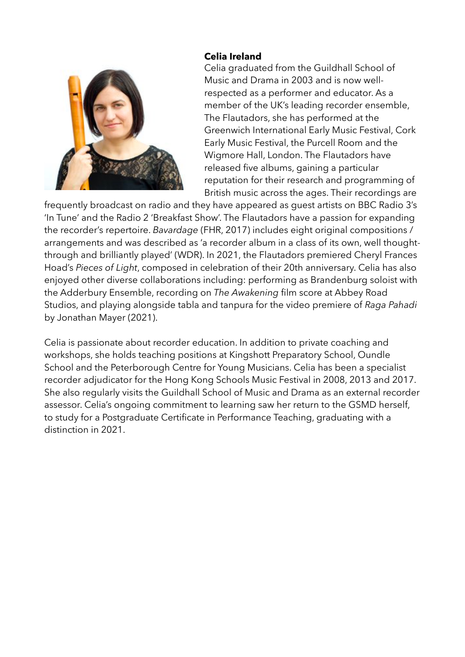

#### **Celia Ireland**

Celia graduated from the Guildhall School of Music and Drama in 2003 and is now wellrespected as a performer and educator. As a member of the UK's leading recorder ensemble, The Flautadors, she has performed at the Greenwich International Early Music Festival, Cork Early Music Festival, the Purcell Room and the Wigmore Hall, London. The Flautadors have released five albums, gaining a particular reputation for their research and programming of British music across the ages. Their recordings are

frequently broadcast on radio and they have appeared as guest artists on BBC Radio 3's 'In Tune' and the Radio 2 'Breakfast Show'. The Flautadors have a passion for expanding the recorder's repertoire. *Bavardage* (FHR, 2017) includes eight original compositions / arrangements and was described as 'a recorder album in a class of its own, well thoughtthrough and brilliantly played' (WDR). In 2021, the Flautadors premiered Cheryl Frances Hoad's *Pieces of Light*, composed in celebration of their 20th anniversary. Celia has also enjoyed other diverse collaborations including: performing as Brandenburg soloist with the Adderbury Ensemble, recording on *The Awakening* film score at Abbey Road Studios, and playing alongside tabla and tanpura for the video premiere of *Raga Pahadi* by Jonathan Mayer (2021).

Celia is passionate about recorder education. In addition to private coaching and workshops, she holds teaching positions at Kingshott Preparatory School, Oundle School and the Peterborough Centre for Young Musicians. Celia has been a specialist recorder adjudicator for the Hong Kong Schools Music Festival in 2008, 2013 and 2017. She also regularly visits the Guildhall School of Music and Drama as an external recorder assessor. Celia's ongoing commitment to learning saw her return to the GSMD herself, to study for a Postgraduate Certificate in Performance Teaching, graduating with a distinction in 2021.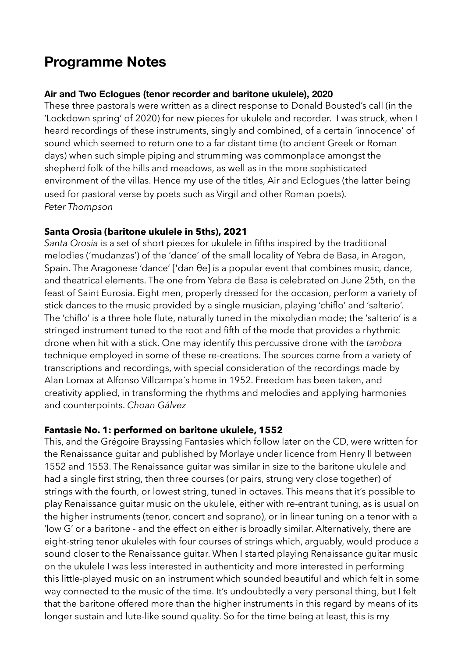### **Programme Notes**

#### **Air and Two Eclogues (tenor recorder and baritone ukulele), 2020**

These three pastorals were written as a direct response to Donald Bousted's call (in the 'Lockdown spring' of 2020) for new pieces for ukulele and recorder. I was struck, when I heard recordings of these instruments, singly and combined, of a certain 'innocence' of sound which seemed to return one to a far distant time (to ancient Greek or Roman days) when such simple piping and strumming was commonplace amongst the shepherd folk of the hills and meadows, as well as in the more sophisticated environment of the villas. Hence my use of the titles, Air and Eclogues (the latter being used for pastoral verse by poets such as Virgil and other Roman poets). *Peter Thompson*

#### **Santa Orosia (baritone ukulele in 5ths), 2021**

*Santa Orosia* is a set of short pieces for ukulele in fifths inspired by the traditional melodies ('mudanzas') of the 'dance' of the small locality of Yebra de Basa, in Aragon, Spain. The Aragonese 'dance' ['dan θe] is a popular event that combines music, dance, and theatrical elements. The one from Yebra de Basa is celebrated on June 25th, on the feast of Saint Eurosia. Eight men, properly dressed for the occasion, perform a variety of stick dances to the music provided by a single musician, playing 'chiflo' and 'salterio'. The 'chiflo' is a three hole flute, naturally tuned in the mixolydian mode; the 'salterio' is a stringed instrument tuned to the root and fifth of the mode that provides a rhythmic drone when hit with a stick. One may identify this percussive drone with the *tambora*  technique employed in some of these re-creations. The sources come from a variety of transcriptions and recordings, with special consideration of the recordings made by Alan Lomax at Alfonso Villcampa´s home in 1952. Freedom has been taken, and creativity applied, in transforming the rhythms and melodies and applying harmonies and counterpoints. *Choan Gálvez*

#### **Fantasie No. 1: performed on baritone ukulele, 1552**

This, and the Grégoire Brayssing Fantasies which follow later on the CD, were written for the Renaissance guitar and published by Morlaye under licence from Henry II between 1552 and 1553. The Renaissance guitar was similar in size to the baritone ukulele and had a single first string, then three courses (or pairs, strung very close together) of strings with the fourth, or lowest string, tuned in octaves. This means that it's possible to play Renaissance guitar music on the ukulele, either with re-entrant tuning, as is usual on the higher instruments (tenor, concert and soprano), or in linear tuning on a tenor with a 'low G' or a baritone - and the effect on either is broadly similar. Alternatively, there are eight-string tenor ukuleles with four courses of strings which, arguably, would produce a sound closer to the Renaissance guitar. When I started playing Renaissance guitar music on the ukulele I was less interested in authenticity and more interested in performing this little-played music on an instrument which sounded beautiful and which felt in some way connected to the music of the time. It's undoubtedly a very personal thing, but I felt that the baritone offered more than the higher instruments in this regard by means of its longer sustain and lute-like sound quality. So for the time being at least, this is my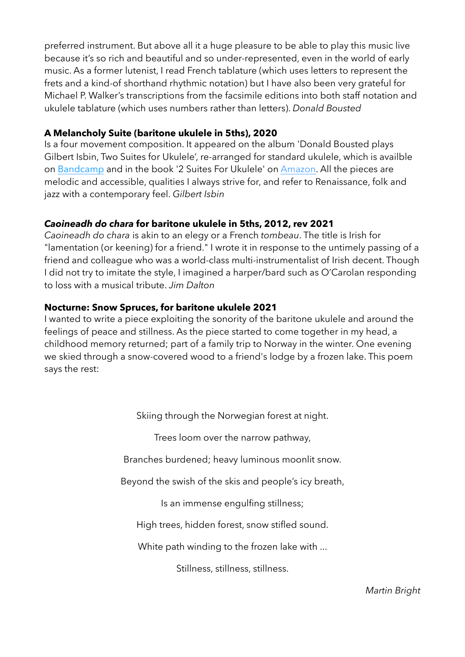preferred instrument. But above all it a huge pleasure to be able to play this music live because it's so rich and beautiful and so under-represented, even in the world of early music. As a former lutenist, I read French tablature (which uses letters to represent the frets and a kind-of shorthand rhythmic notation) but I have also been very grateful for Michael P. Walker's transcriptions from the facsimile editions into both staff notation and ukulele tablature (which uses numbers rather than letters). *Donald Bousted*

#### **A Melancholy Suite (baritone ukulele in 5ths), 2020**

Is a four movement composition. It appeared on the album 'Donald Bousted plays Gilbert Isbin, Two Suites for Ukulele', re-arranged for standard ukulele, which is availble on [Bandcamp](https://donaldbousted1.bandcamp.com/album/donald-bousted-plays-gilbert-isbin-2-suites-for-ukulele) and in the book '2 Suites For Ukulele' on [Amazon](https://www.amazon.co.uk/dp/B098GVJGFN). All the pieces are melodic and accessible, qualities I always strive for, and refer to Renaissance, folk and jazz with a contemporary feel. *Gilbert Isbin*

#### *Caoineadh do chara* **for baritone ukulele in 5ths, 2012, rev 2021**

*Caoineadh do chara* is akin to an elegy or a French *tombeau*. The title is Irish for "lamentation (or keening) for a friend." I wrote it in response to the untimely passing of a friend and colleague who was a world-class multi-instrumentalist of Irish decent. Though I did not try to imitate the style, I imagined a harper/bard such as O'Carolan responding to loss with a musical tribute. *Jim Dalton*

#### **Nocturne: Snow Spruces, for baritone ukulele 2021**

I wanted to write a piece exploiting the sonority of the baritone ukulele and around the feelings of peace and stillness. As the piece started to come together in my head, a childhood memory returned; part of a family trip to Norway in the winter. One evening we skied through a snow-covered wood to a friend's lodge by a frozen lake. This poem says the rest:

Skiing through the Norwegian forest at night.

Trees loom over the narrow pathway,

Branches burdened; heavy luminous moonlit snow.

Beyond the swish of the skis and people's icy breath,

Is an immense engulfing stillness;

High trees, hidden forest, snow stifled sound.

White path winding to the frozen lake with ...

Stillness, stillness, stillness.

*Martin Bright*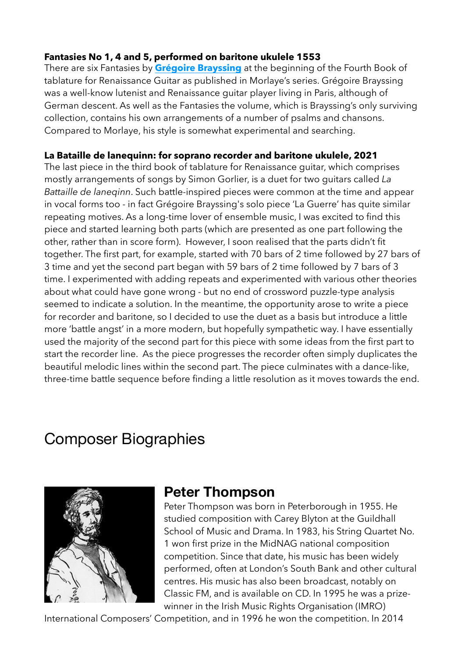#### **Fantasies No 1, 4 and 5, performed on baritone ukulele 1553**

There are six Fantasies by **[Grégoire Brayssing](https://fr.wikipedia.org/wiki/Gregor_Brayssing)** at the beginning of the Fourth Book of tablature for Renaissance Guitar as published in Morlaye's series. Grégoire Brayssing was a well-know lutenist and Renaissance guitar player living in Paris, although of German descent. As well as the Fantasies the volume, which is Brayssing's only surviving collection, contains his own arrangements of a number of psalms and chansons. Compared to Morlaye, his style is somewhat experimental and searching.

#### **La Bataille de lanequinn: for soprano recorder and baritone ukulele, 2021**

The last piece in the third book of tablature for Renaissance guitar, which comprises mostly arrangements of songs by Simon Gorlier, is a duet for two guitars called *La Battaille de laneqinn*. Such battle-inspired pieces were common at the time and appear in vocal forms too - in fact Grégoire Brayssing's solo piece 'La Guerre' has quite similar repeating motives. As a long-time lover of ensemble music, I was excited to find this piece and started learning both parts (which are presented as one part following the other, rather than in score form). However, I soon realised that the parts didn't fit together. The first part, for example, started with 70 bars of 2 time followed by 27 bars of 3 time and yet the second part began with 59 bars of 2 time followed by 7 bars of 3 time. I experimented with adding repeats and experimented with various other theories about what could have gone wrong - but no end of crossword puzzle-type analysis seemed to indicate a solution. In the meantime, the opportunity arose to write a piece for recorder and baritone, so I decided to use the duet as a basis but introduce a little more 'battle angst' in a more modern, but hopefully sympathetic way. I have essentially used the majority of the second part for this piece with some ideas from the first part to start the recorder line. As the piece progresses the recorder often simply duplicates the beautiful melodic lines within the second part. The piece culminates with a dance-like, three-time battle sequence before finding a little resolution as it moves towards the end.

# Composer Biographies



### **Peter Thompson**

Peter Thompson was born in Peterborough in 1955. He studied composition with [Carey Blyton](https://fandmusic.com/?composer=15) at the Guildhall School of Music and Drama. In 1983, his String Quartet No. 1 won first prize in the MidNAG national composition competition. Since that date, his music has been widely performed, often at London's South Bank and other cultural centres. His music has also been broadcast, notably on Classic FM, and is available on CD. In 1995 he was a prizewinner in the Irish Music Rights Organisation (IMRO)

International Composers' Competition, and in 1996 he won the competition. In 2014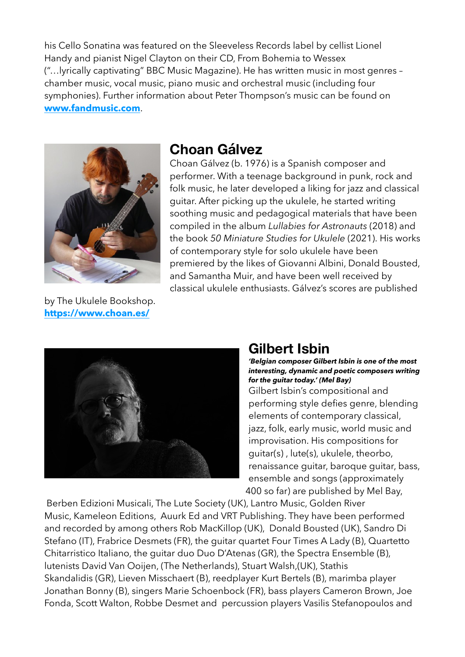his [Cello Sonatina](https://fandmusic.com/?product=FM094) was featured on the Sleeveless Records label by cellist Lionel Handy and pianist Nigel Clayton on their CD, [From Bohemia to Wessex](https://fandmusic.com/?product=SLV1011)  ("…lyrically captivating" BBC Music Magazine). He has written music in most genres – chamber music, vocal music, piano music and orchestral music (including four symphonies). Further information about Peter Thompson's music can be found on **[www.fandmusic.com](http://www.fandmusic.com)**.



by The Ukulele Bookshop. **<https://www.choan.es/>**

### **Choan Gálvez**

Choan Gálvez (b. 1976) is a Spanish composer and performer. With a teenage background in punk, rock and folk music, he later developed a liking for jazz and classical guitar. After picking up the ukulele, he started writing soothing music and pedagogical materials that have been compiled in the album *Lullabies for Astronauts* (2018) and the book *50 Miniature Studies for Ukulele* (2021). His works of contemporary style for solo ukulele have been premiered by the likes of Giovanni Albini, Donald Bousted, and Samantha Muir, and have been well received by classical ukulele enthusiasts. Gálvez's scores are published



### **Gilbert Isbin**

*'Belgian composer Gilbert Isbin is one of the most interesting, dynamic and poetic composers writing for the guitar today.' (Mel Bay)*

Gilbert Isbin's compositional and performing style defies genre, blending elements of contemporary classical, jazz, folk, early music, world music and improvisation. His compositions for guitar(s) , lute(s), ukulele, theorbo, renaissance guitar, baroque guitar, bass, ensemble and songs (approximately 400 so far) are published by Mel Bay,

[Berben Edizioni Musicali,](http://www.berben.it/) The Lute Society (UK), [Lantro Music,](http://www.lantromusic.be/index.php?page=Catalogue) [Golden River](http://www.goldenrivermusic.eu/)  [Music,](http://www.goldenrivermusic.eu/) [Kameleon Editions](http://www.beriato.com/kameleon/nl/default.asp), [Auurk Ed](http://www.auurk.net/) and VRT Publishing. They have been performed and recorded by among others [Rob MacKillop](https://archtopguitar.net/gilbert-isbin/) (UK), [Donald Bousted](https://www.youtube.com/watch?v=dMB6-ObL5T8&list=PLkWSUrXeoWmN8EC9nyBiL_hJFSo2nYCoo&ab_channel=DonaldBoustedUkulele) (UK), [Sandro Di](https://gilbertisbin.com/discography/crypto/)  [Stefano](https://gilbertisbin.com/discography/crypto/) (IT), [Frabrice Desmets](https://www.youtube.com/playlist?list=PLkWSUrXeoWmNquzT0w2CQFwzLn9wmRva1) (FR), the guitar quartet Four Times A Lady (B), Quartetto Chitarristico Italiano, the guitar duo Duo D'Atenas (GR), the Spectra Ensemble (B), lutenists [David Van Ooijen](http://www.youtube.com/user/luitluit/videos?tag_id=&shelf_index=3&view=0&sort=dd), (The Netherlands), [Stuart Walsh,](http://www.youtube.com/user/pluckedturkeys)(UK), [Stathis](http://www.youtube.com/watch?v=LovX6q7I7Rw)  [Skandalidis](http://www.youtube.com/watch?v=LovX6q7I7Rw) (GR), Lieven Misschaert (B), reedplayer Kurt Bertels (B), marimba player Jonathan Bonny (B), singers [Marie Schoenbock](https://www.youtube.com/playlist?list=PLkWSUrXeoWmNquzT0w2CQFwzLn9wmRva1) (FR), bass players Cameron Brown, Joe Fonda, Scott Walton, Robbe Desmet and percussion players Vasilis Stefanopoulos and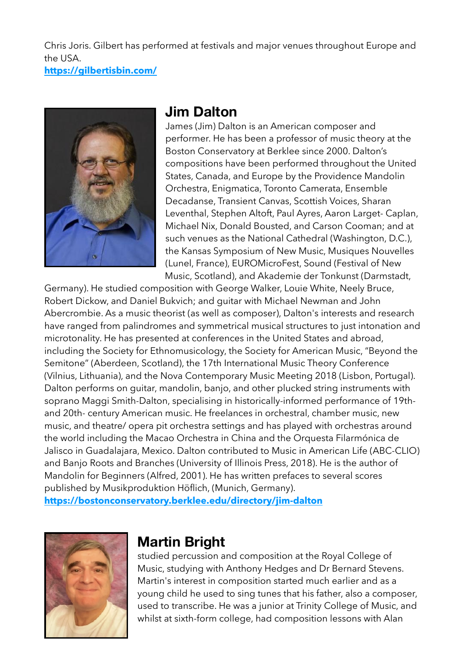Chris Joris. Gilbert has performed at festivals and major venues throughout Europe and the USA.

**<https://gilbertisbin.com/>**



### **Jim Dalton**

James (Jim) Dalton is an American composer and performer. He has been a professor of music theory at the Boston Conservatory at Berklee since 2000. Dalton's compositions have been performed throughout the United States, Canada, and Europe by the Providence Mandolin Orchestra, Enigmatica, Toronto Camerata, Ensemble Decadanse, Transient Canvas, Scottish Voices, Sharan Leventhal, Stephen Altoft, Paul Ayres, Aaron Larget- Caplan, Michael Nix, Donald Bousted, and Carson Cooman; and at such venues as the National Cathedral (Washington, D.C.), the Kansas Symposium of New Music, Musiques Nouvelles (Lunel, France), EUROMicroFest, Sound (Festival of New Music, Scotland), and Akademie der Tonkunst (Darmstadt,

Germany). He studied composition with George Walker, Louie White, Neely Bruce, Robert Dickow, and Daniel Bukvich; and guitar with Michael Newman and John Abercrombie. As a music theorist (as well as composer), Dalton's interests and research have ranged from palindromes and symmetrical musical structures to just intonation and microtonality. He has presented at conferences in the United States and abroad, including the Society for Ethnomusicology, the Society for American Music, "Beyond the Semitone" (Aberdeen, Scotland), the 17th International Music Theory Conference (Vilnius, Lithuania), and the Nova Contemporary Music Meeting 2018 (Lisbon, Portugal). Dalton performs on guitar, mandolin, banjo, and other plucked string instruments with soprano Maggi Smith-Dalton, specialising in historically-informed performance of 19thand 20th- century American music. He freelances in orchestral, chamber music, new music, and theatre/ opera pit orchestra settings and has played with orchestras around the world including the Macao Orchestra in China and the Orquesta Filarmónica de Jalisco in Guadalajara, Mexico. Dalton contributed to Music in American Life (ABC-CLIO) and Banjo Roots and Branches (University of Illinois Press, 2018). He is the author of Mandolin for Beginners (Alfred, 2001). He has written prefaces to several scores published by Musikproduktion Höflich, (Munich, Germany). **<https://bostonconservatory.berklee.edu/directory/jim-dalton>**



### **Martin Bright**

studied percussion and composition at the Royal College of Music, studying with Anthony Hedges and Dr Bernard Stevens. Martin's interest in composition started much earlier and as a young child he used to sing tunes that his father, also a composer, used to transcribe. He was a junior at Trinity College of Music, and whilst at sixth-form college, had composition lessons with Alan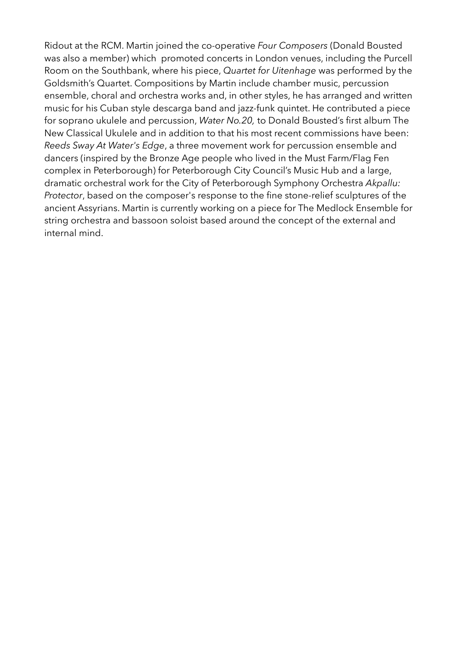Ridout at the RCM. Martin joined the co-operative *Four Composers* (Donald Bousted was also a member) which promoted concerts in London venues, including the Purcell Room on the Southbank, where his piece, *Quartet for Uitenhage* was performed by the Goldsmith's Quartet. Compositions by Martin include chamber music, percussion ensemble, choral and orchestra works and, in other styles, he has arranged and written music for his Cuban style descarga band and jazz-funk quintet. He contributed a piece for soprano ukulele and percussion, *Water No.20,* to Donald Bousted's first album The New Classical Ukulele and in addition to that his most recent commissions have been: *Reeds Sway At Water's Edge*, a three movement work for percussion ensemble and dancers (inspired by the Bronze Age people who lived in the Must Farm/Flag Fen complex in Peterborough) for Peterborough City Council's Music Hub and a large, dramatic orchestral work for the City of Peterborough Symphony Orchestra *Akpallu: Protector*, based on the composer's response to the fine stone-relief sculptures of the ancient Assyrians. Martin is currently working on a piece for The Medlock Ensemble for string orchestra and bassoon soloist based around the concept of the external and internal mind.